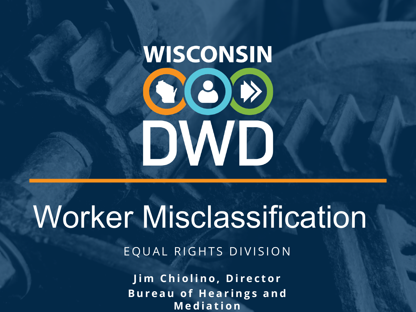# **WISCONSIN** COO DWD

## Worker Misclassification

EQUAL RIGHTS DIVISION

**Jim Chiolino, Director Bureau of Hearings and Mediation**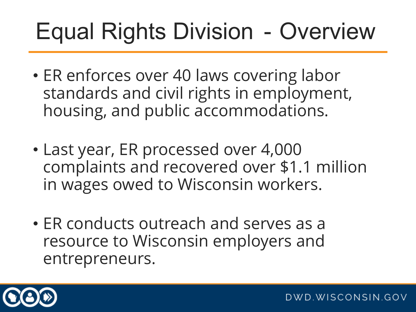### Equal Rights Division - Overview

- ER enforces over 40 laws covering labor standards and civil rights in employment, housing, and public accommodations.
- Last year, ER processed over 4,000 complaints and recovered over \$1.1 million in wages owed to Wisconsin workers.
- ER conducts outreach and serves as a resource to Wisconsin employers and entrepreneurs.

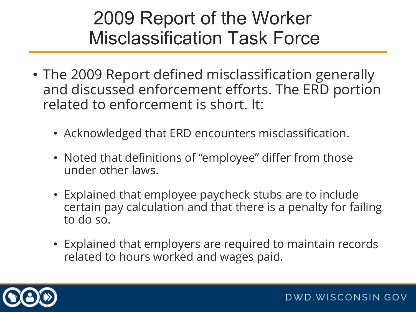#### 2009 Report of the Worker Misclassification Task Force

- The 2009 Report defined misclassification generally and discussed enforcement efforts. The ERD portion related to enforcement is short. It:
	- Acknowledged that ERD encounters misclassification.
	- Noted that definitions of "employee" differ from those under other laws.
	- Explained that employee paycheck stubs are to include certain pay calculation and that there is a penalty for failing to do so.
	- Explained that employers are required to maintain records related to hours worked and wages paid.

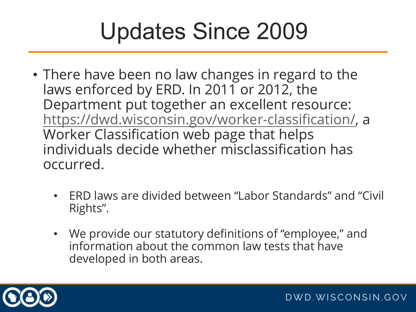### Updates Since 2009

- There have been no law changes in regard to the laws enforced by ERD. In 2011 or 2012, the Department put together an excellent resource: [https://dwd.wisconsin.gov/worker](https://dwd.wisconsin.gov/worker-classification/)-classification/, a Worker Classification web page that helps individuals decide whether misclassification has occurred.
	- ERD laws are divided between "Labor Standards" and "Civil Rights".
	- We provide our statutory definitions of "employee," and information about the common law tests that have developed in both areas.

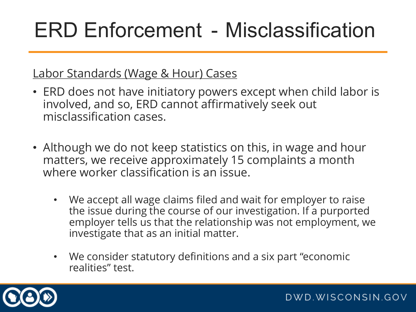#### Labor Standards (Wage & Hour) Cases

- ERD does not have initiatory powers except when child labor is involved, and so, ERD cannot affirmatively seek out misclassification cases.
- Although we do not keep statistics on this, in wage and hour matters, we receive approximately 15 complaints a month where worker classification is an issue.
	- We accept all wage claims filed and wait for employer to raise the issue during the course of our investigation. If a purported employer tells us that the relationship was not employment, we investigate that as an initial matter.
	- We consider statutory definitions and a six part "economic realities" test.

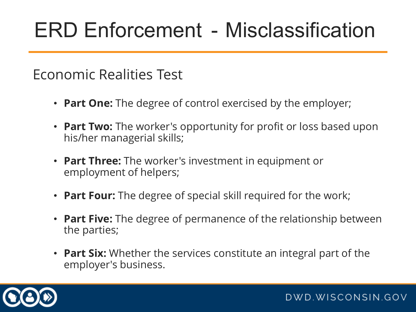#### Economic Realities Test

- **Part One:** The degree of control exercised by the employer;
- **Part Two:** The worker's opportunity for profit or loss based upon his/her managerial skills;
- **Part Three:** The worker's investment in equipment or employment of helpers;
- **Part Four:** The degree of special skill required for the work;
- **Part Five:** The degree of permanence of the relationship between the parties;
- **Part Six:** Whether the services constitute an integral part of the employer's business.

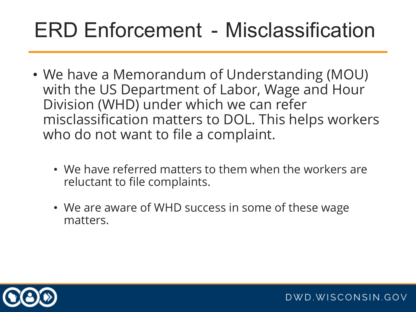- We have a Memorandum of Understanding (MOU) with the US Department of Labor, Wage and Hour Division (WHD) under which we can refer misclassification matters to DOL. This helps workers who do not want to file a complaint.
	- We have referred matters to them when the workers are reluctant to file complaints.
	- We are aware of WHD success in some of these wage matters.

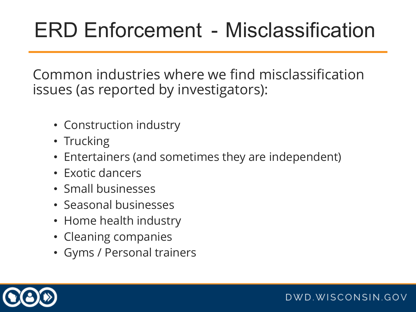Common industries where we find misclassification issues (as reported by investigators):

- Construction industry
- Trucking
- Entertainers (and sometimes they are independent)
- Exotic dancers
- Small businesses
- Seasonal businesses
- Home health industry
- Cleaning companies
- Gyms / Personal trainers

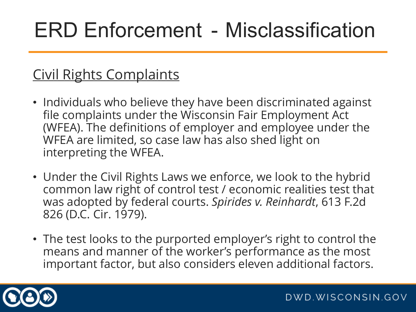#### Civil Rights Complaints

- Individuals who believe they have been discriminated against file complaints under the Wisconsin Fair Employment Act (WFEA). The definitions of employer and employee under the WFEA are limited, so case law has also shed light on interpreting the WFEA.
- Under the Civil Rights Laws we enforce, we look to the hybrid common law right of control test / economic realities test that was adopted by federal courts. *Spirides v. Reinhardt*, 613 F.2d 826 (D.C. Cir. 1979).
- The test looks to the purported employer's right to control the means and manner of the worker's performance as the most important factor, but also considers eleven additional factors.

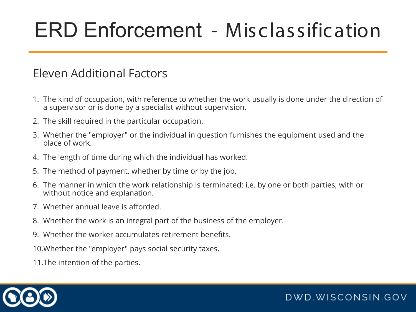#### Eleven Additional Factors

- 1. The kind of occupation, with reference to whether the work usually is done under the direction of a supervisor or is done by a specialist without supervision.
- 2. The skill required in the particular occupation.
- 3. Whether the "employer" or the individual in question furnishes the equipment used and the place of work.
- 4. The length of time during which the individual has worked.
- 5. The method of payment, whether by time or by the job.
- 6. The manner in which the work relationship is terminated: i.e. by one or both parties, with or without notice and explanation.
- 7. Whether annual leave is afforded.
- 8. Whether the work is an integral part of the business of the employer.
- 9. Whether the worker accumulates retirement benefits.

10.Whether the "employer" pays social security taxes.

11.The intention of the parties.

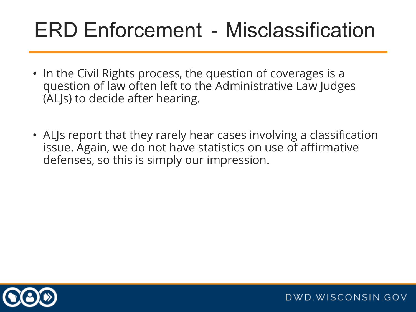- In the Civil Rights process, the question of coverages is a question of law often left to the Administrative Law Judges (ALJs) to decide after hearing.
- ALJs report that they rarely hear cases involving a classification issue. Again, we do not have statistics on use of affirmative defenses, so this is simply our impression.